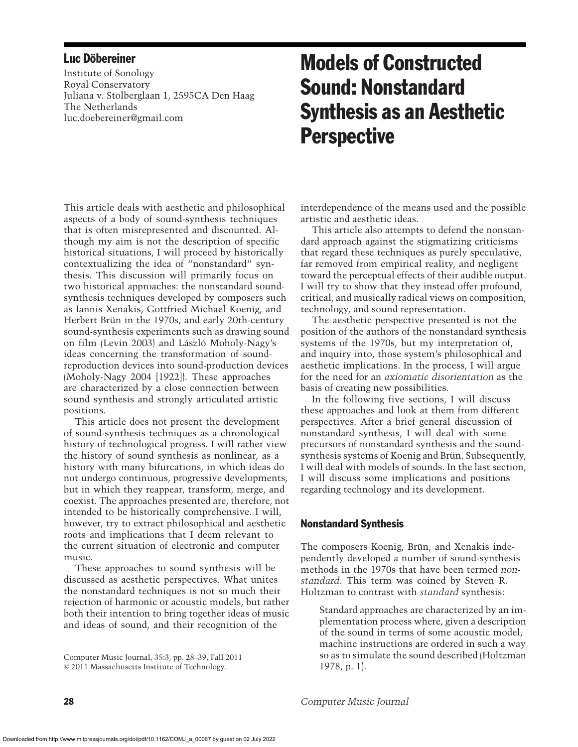# Luc Döbereiner

Institute of Sonology Royal Conservatory Juliana v. Stolberglaan 1, 2595CA Den Haag The Netherlands luc.doebereiner@gmail.com

# Models of Constructed Sound: Nonstandard Synthesis as an Aesthetic Perspective

This article deals with aesthetic and philosophical aspects of a body of sound-synthesis techniques that is often misrepresented and discounted. Although my aim is not the description of specific historical situations, I will proceed by historically contextualizing the idea of "nonstandard" synthesis. This discussion will primarily focus on two historical approaches: the nonstandard soundsynthesis techniques developed by composers such as Iannis Xenakis, Gottfried Michael Koenig, and Herbert Brün in the 1970s, and early 20th-century sound-synthesis experiments such as drawing sound on film (Levin 2003) and László Moholy-Nagy's ideas concerning the transformation of soundreproduction devices into sound-production devices (Moholy-Nagy 2004 [1922]). These approaches are characterized by a close connection between sound synthesis and strongly articulated artistic positions.

This article does not present the development of sound-synthesis techniques as a chronological history of technological progress. I will rather view the history of sound synthesis as nonlinear, as a history with many bifurcations, in which ideas do not undergo continuous, progressive developments, but in which they reappear, transform, merge, and coexist. The approaches presented are, therefore, not intended to be historically comprehensive. I will, however, try to extract philosophical and aesthetic roots and implications that I deem relevant to the current situation of electronic and computer music.

These approaches to sound synthesis will be discussed as aesthetic perspectives. What unites the nonstandard techniques is not so much their rejection of harmonic or acoustic models, but rather both their intention to bring together ideas of music and ideas of sound, and their recognition of the

Computer Music Journal, 35:3, pp. 28–39, Fall 2011  $© 2011 Massachusetts Institute of Technology.$ 

interdependence of the means used and the possible artistic and aesthetic ideas.

This article also attempts to defend the nonstandard approach against the stigmatizing criticisms that regard these techniques as purely speculative, far removed from empirical reality, and negligent toward the perceptual effects of their audible output. I will try to show that they instead offer profound, critical, and musically radical views on composition, technology, and sound representation.

The aesthetic perspective presented is not the position of the authors of the nonstandard synthesis systems of the 1970s, but my interpretation of, and inquiry into, those system's philosophical and aesthetic implications. In the process, I will argue for the need for an *axiomatic disorientation* as the basis of creating new possibilities.

In the following five sections, I will discuss these approaches and look at them from different perspectives. After a brief general discussion of nonstandard synthesis, I will deal with some precursors of nonstandard synthesis and the soundsynthesis systems of Koenig and Brün. Subsequently, I will deal with models of sounds. In the last section, I will discuss some implications and positions regarding technology and its development.

### Nonstandard Synthesis

The composers Koenig, Brün, and Xenakis independently developed a number of sound-synthesis methods in the 1970s that have been termed *nonstandard*. This term was coined by Steven R. Holtzman to contrast with *standard* synthesis:

Standard approaches are characterized by an implementation process where, given a description of the sound in terms of some acoustic model, machine instructions are ordered in such a way so as to simulate the sound described (Holtzman 1978, p. 1).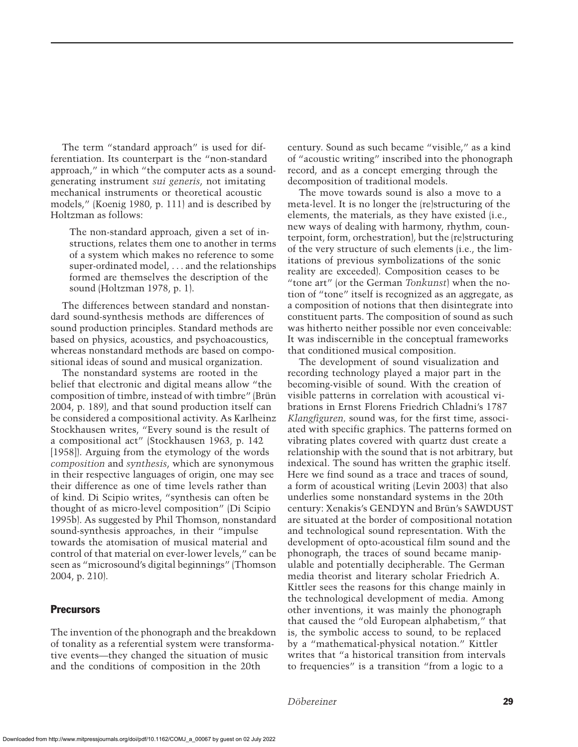The term "standard approach" is used for differentiation. Its counterpart is the "non-standard approach," in which "the computer acts as a soundgenerating instrument *sui generis*, not imitating mechanical instruments or theoretical acoustic models," (Koenig 1980, p. 111) and is described by Holtzman as follows:

The non-standard approach, given a set of instructions, relates them one to another in terms of a system which makes no reference to some super-ordinated model, . . . and the relationships formed are themselves the description of the sound (Holtzman 1978, p. 1).

The differences between standard and nonstandard sound-synthesis methods are differences of sound production principles. Standard methods are based on physics, acoustics, and psychoacoustics, whereas nonstandard methods are based on compositional ideas of sound and musical organization.

The nonstandard systems are rooted in the belief that electronic and digital means allow "the composition of timbre, instead of with timbre" (Brün 2004, p. 189), and that sound production itself can be considered a compositional activity. As Karlheinz Stockhausen writes, "Every sound is the result of a compositional act" (Stockhausen 1963, p. 142 [1958]). Arguing from the etymology of the words *composition* and *synthesis*, which are synonymous in their respective languages of origin, one may see their difference as one of time levels rather than of kind. Di Scipio writes, "synthesis can often be thought of as micro-level composition" (Di Scipio 1995b). As suggested by Phil Thomson, nonstandard sound-synthesis approaches, in their "impulse towards the atomisation of musical material and control of that material on ever-lower levels," can be seen as "microsound's digital beginnings" (Thomson 2004, p. 210).

### **Precursors**

The invention of the phonograph and the breakdown of tonality as a referential system were transformative events—they changed the situation of music and the conditions of composition in the 20th

century. Sound as such became "visible," as a kind of "acoustic writing" inscribed into the phonograph record, and as a concept emerging through the decomposition of traditional models.

The move towards sound is also a move to a meta-level. It is no longer the (re)structuring of the elements, the materials, as they have existed (i.e., new ways of dealing with harmony, rhythm, counterpoint, form, orchestration), but the (re)structuring of the very structure of such elements (i.e., the limitations of previous symbolizations of the sonic reality are exceeded). Composition ceases to be "tone art" (or the German *Tonkunst*) when the notion of "tone" itself is recognized as an aggregate, as a composition of notions that then disintegrate into constituent parts. The composition of sound as such was hitherto neither possible nor even conceivable: It was indiscernible in the conceptual frameworks that conditioned musical composition.

The development of sound visualization and recording technology played a major part in the becoming-visible of sound. With the creation of visible patterns in correlation with acoustical vibrations in Ernst Florens Friedrich Chladni's 1787 *Klangfiguren,* sound was, for the first time, associated with specific graphics. The patterns formed on vibrating plates covered with quartz dust create a relationship with the sound that is not arbitrary, but indexical. The sound has written the graphic itself. Here we find sound as a trace and traces of sound, a form of acoustical writing (Levin 2003) that also underlies some nonstandard systems in the 20th century: Xenakis's GENDYN and Brün's SAWDUST are situated at the border of compositional notation and technological sound representation. With the development of opto-acoustical film sound and the phonograph, the traces of sound became manipulable and potentially decipherable. The German media theorist and literary scholar Friedrich A. Kittler sees the reasons for this change mainly in the technological development of media. Among other inventions, it was mainly the phonograph that caused the "old European alphabetism," that is, the symbolic access to sound, to be replaced by a "mathematical-physical notation." Kittler writes that "a historical transition from intervals to frequencies" is a transition "from a logic to a

*Dobereiner ¨* 29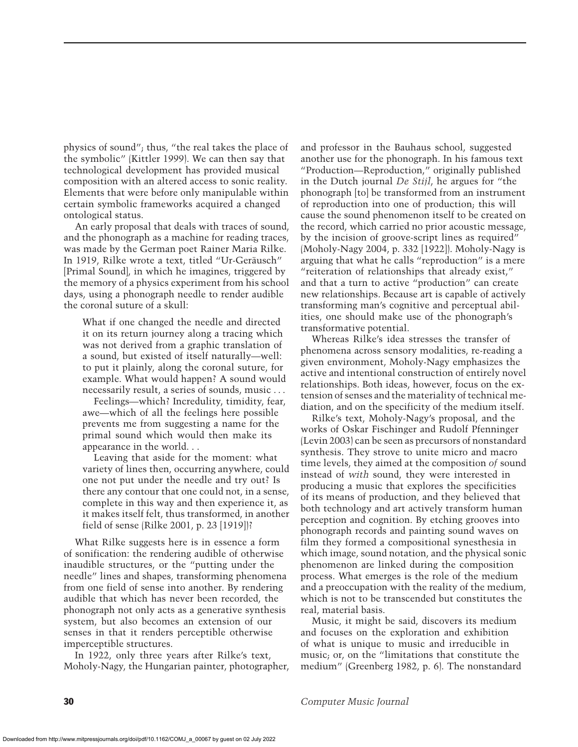physics of sound"; thus, "the real takes the place of the symbolic" (Kittler 1999). We can then say that technological development has provided musical composition with an altered access to sonic reality. Elements that were before only manipulable within certain symbolic frameworks acquired a changed ontological status.

An early proposal that deals with traces of sound, and the phonograph as a machine for reading traces, was made by the German poet Rainer Maria Rilke. In 1919, Rilke wrote a text, titled "Ur-Geräusch" [Primal Sound], in which he imagines, triggered by the memory of a physics experiment from his school days, using a phonograph needle to render audible the coronal suture of a skull:

What if one changed the needle and directed it on its return journey along a tracing which was not derived from a graphic translation of a sound, but existed of itself naturally—well: to put it plainly, along the coronal suture, for example. What would happen? A sound would necessarily result, a series of sounds, music . . .

Feelings—which? Incredulity, timidity, fear, awe—which of all the feelings here possible prevents me from suggesting a name for the primal sound which would then make its appearance in the world. . .

Leaving that aside for the moment: what variety of lines then, occurring anywhere, could one not put under the needle and try out? Is there any contour that one could not, in a sense, complete in this way and then experience it, as it makes itself felt, thus transformed, in another field of sense (Rilke 2001, p. 23 [1919])?

What Rilke suggests here is in essence a form of sonification: the rendering audible of otherwise inaudible structures, or the "putting under the needle" lines and shapes, transforming phenomena from one field of sense into another. By rendering audible that which has never been recorded, the phonograph not only acts as a generative synthesis system, but also becomes an extension of our senses in that it renders perceptible otherwise imperceptible structures.

In 1922, only three years after Rilke's text, Moholy-Nagy, the Hungarian painter, photographer, and professor in the Bauhaus school, suggested another use for the phonograph. In his famous text "Production—Reproduction," originally published in the Dutch journal *De Stijl*, he argues for "the phonograph [to] be transformed from an instrument of reproduction into one of production; this will cause the sound phenomenon itself to be created on the record, which carried no prior acoustic message, by the incision of groove-script lines as required" (Moholy-Nagy 2004, p. 332 [1922]). Moholy-Nagy is arguing that what he calls "reproduction" is a mere "reiteration of relationships that already exist," and that a turn to active "production" can create new relationships. Because art is capable of actively transforming man's cognitive and perceptual abilities, one should make use of the phonograph's transformative potential.

Whereas Rilke's idea stresses the transfer of phenomena across sensory modalities, re-reading a given environment, Moholy-Nagy emphasizes the active and intentional construction of entirely novel relationships. Both ideas, however, focus on the extension of senses and the materiality of technical mediation, and on the specificity of the medium itself.

Rilke's text, Moholy-Nagy's proposal, and the works of Oskar Fischinger and Rudolf Pfenninger (Levin 2003) can be seen as precursors of nonstandard synthesis. They strove to unite micro and macro time levels, they aimed at the composition *of* sound instead of *with* sound, they were interested in producing a music that explores the specificities of its means of production, and they believed that both technology and art actively transform human perception and cognition. By etching grooves into phonograph records and painting sound waves on film they formed a compositional synesthesia in which image, sound notation, and the physical sonic phenomenon are linked during the composition process. What emerges is the role of the medium and a preoccupation with the reality of the medium, which is not to be transcended but constitutes the real, material basis.

Music, it might be said, discovers its medium and focuses on the exploration and exhibition of what is unique to music and irreducible in music; or, on the "limitations that constitute the medium" (Greenberg 1982, p. 6). The nonstandard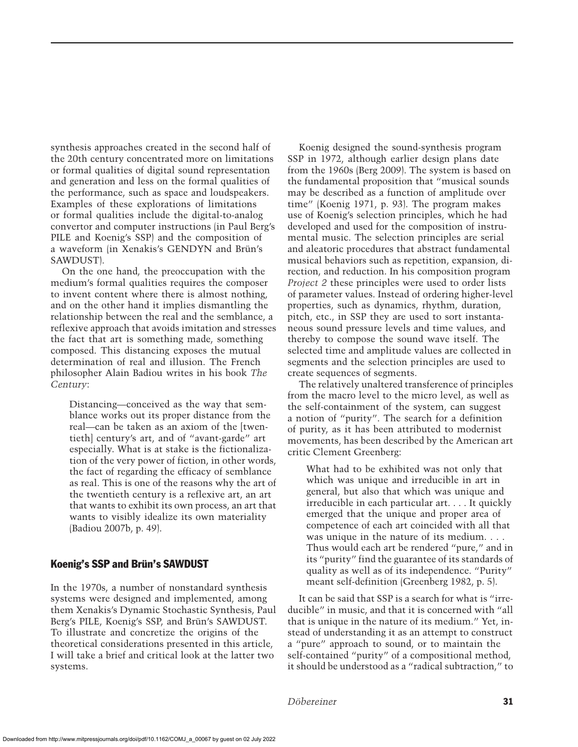synthesis approaches created in the second half of the 20th century concentrated more on limitations or formal qualities of digital sound representation and generation and less on the formal qualities of the performance, such as space and loudspeakers. Examples of these explorations of limitations or formal qualities include the digital-to-analog convertor and computer instructions (in Paul Berg's PILE and Koenig's SSP) and the composition of a waveform (in Xenakis's GENDYN and Brün's SAWDUST).

On the one hand, the preoccupation with the medium's formal qualities requires the composer to invent content where there is almost nothing, and on the other hand it implies dismantling the relationship between the real and the semblance, a reflexive approach that avoids imitation and stresses the fact that art is something made, something composed. This distancing exposes the mutual determination of real and illusion. The French philosopher Alain Badiou writes in his book *The Century*:

Distancing—conceived as the way that semblance works out its proper distance from the real—can be taken as an axiom of the [twentieth] century's art, and of "avant-garde" art especially. What is at stake is the fictionalization of the very power of fiction, in other words, the fact of regarding the efficacy of semblance as real. This is one of the reasons why the art of the twentieth century is a reflexive art, an art that wants to exhibit its own process, an art that wants to visibly idealize its own materiality (Badiou 2007b, p. 49).

### Koenig's SSP and Brün's SAWDUST

In the 1970s, a number of nonstandard synthesis systems were designed and implemented, among them Xenakis's Dynamic Stochastic Synthesis, Paul Berg's PILE, Koenig's SSP, and Brün's SAWDUST. To illustrate and concretize the origins of the theoretical considerations presented in this article, I will take a brief and critical look at the latter two systems.

Koenig designed the sound-synthesis program SSP in 1972, although earlier design plans date from the 1960s (Berg 2009). The system is based on the fundamental proposition that "musical sounds may be described as a function of amplitude over time" (Koenig 1971, p. 93). The program makes use of Koenig's selection principles, which he had developed and used for the composition of instrumental music. The selection principles are serial and aleatoric procedures that abstract fundamental musical behaviors such as repetition, expansion, direction, and reduction. In his composition program *Project 2* these principles were used to order lists of parameter values. Instead of ordering higher-level properties, such as dynamics, rhythm, duration, pitch, etc., in SSP they are used to sort instantaneous sound pressure levels and time values, and thereby to compose the sound wave itself. The selected time and amplitude values are collected in segments and the selection principles are used to create sequences of segments.

The relatively unaltered transference of principles from the macro level to the micro level, as well as the self-containment of the system, can suggest a notion of "purity". The search for a definition of purity, as it has been attributed to modernist movements, has been described by the American art critic Clement Greenberg:

What had to be exhibited was not only that which was unique and irreducible in art in general, but also that which was unique and irreducible in each particular art. . . . It quickly emerged that the unique and proper area of competence of each art coincided with all that was unique in the nature of its medium. . . . Thus would each art be rendered "pure," and in its "purity" find the guarantee of its standards of quality as well as of its independence. "Purity" meant self-definition (Greenberg 1982, p. 5).

It can be said that SSP is a search for what is "irreducible" in music, and that it is concerned with "all that is unique in the nature of its medium." Yet, instead of understanding it as an attempt to construct a "pure" approach to sound, or to maintain the self-contained "purity" of a compositional method, it should be understood as a "radical subtraction," to

*D*öbereiner **31**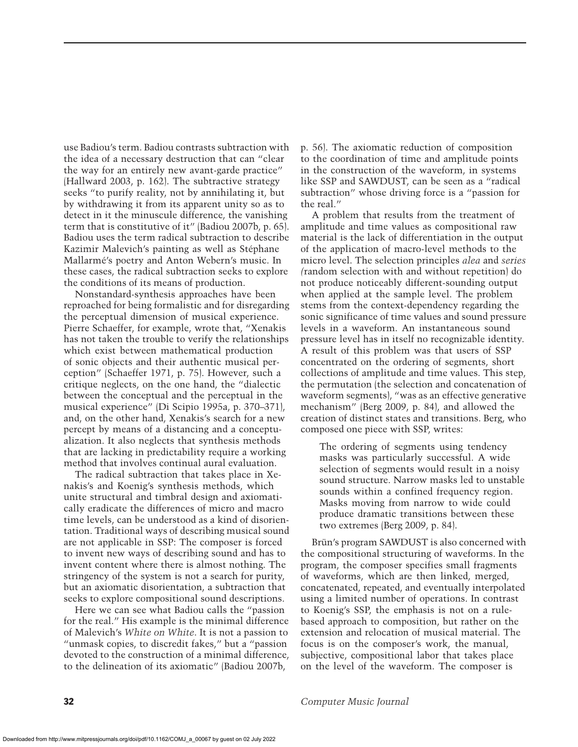use Badiou's term. Badiou contrasts subtraction with the idea of a necessary destruction that can "clear the way for an entirely new avant-garde practice" (Hallward 2003, p. 162). The subtractive strategy seeks "to purify reality, not by annihilating it, but by withdrawing it from its apparent unity so as to detect in it the minuscule difference, the vanishing term that is constitutive of it" (Badiou 2007b, p. 65). Badiou uses the term radical subtraction to describe Kazimir Malevich's painting as well as Stephane ´ Mallarmé's poetry and Anton Webern's music. In these cases, the radical subtraction seeks to explore the conditions of its means of production.

Nonstandard-synthesis approaches have been reproached for being formalistic and for disregarding the perceptual dimension of musical experience. Pierre Schaeffer, for example, wrote that, "Xenakis has not taken the trouble to verify the relationships which exist between mathematical production of sonic objects and their authentic musical perception" (Schaeffer 1971, p. 75). However, such a critique neglects, on the one hand, the "dialectic between the conceptual and the perceptual in the musical experience" (Di Scipio 1995a, p. 370–371), and, on the other hand, Xenakis's search for a new percept by means of a distancing and a conceptualization. It also neglects that synthesis methods that are lacking in predictability require a working method that involves continual aural evaluation.

The radical subtraction that takes place in Xenakis's and Koenig's synthesis methods, which unite structural and timbral design and axiomatically eradicate the differences of micro and macro time levels, can be understood as a kind of disorientation. Traditional ways of describing musical sound are not applicable in SSP: The composer is forced to invent new ways of describing sound and has to invent content where there is almost nothing. The stringency of the system is not a search for purity, but an axiomatic disorientation, a subtraction that seeks to explore compositional sound descriptions.

Here we can see what Badiou calls the "passion for the real." His example is the minimal difference of Malevich's *White on White*. It is not a passion to "unmask copies, to discredit fakes," but a "passion devoted to the construction of a minimal difference, to the delineation of its axiomatic" (Badiou 2007b,

p. 56). The axiomatic reduction of composition to the coordination of time and amplitude points in the construction of the waveform, in systems like SSP and SAWDUST, can be seen as a "radical subtraction" whose driving force is a "passion for the real."

A problem that results from the treatment of amplitude and time values as compositional raw material is the lack of differentiation in the output of the application of macro-level methods to the micro level. The selection principles *alea* and *series (*random selection with and without repetition) do not produce noticeably different-sounding output when applied at the sample level. The problem stems from the context-dependency regarding the sonic significance of time values and sound pressure levels in a waveform. An instantaneous sound pressure level has in itself no recognizable identity. A result of this problem was that users of SSP concentrated on the ordering of segments, short collections of amplitude and time values. This step, the permutation (the selection and concatenation of waveform segments), "was as an effective generative mechanism" (Berg 2009, p. 84), and allowed the creation of distinct states and transitions. Berg, who composed one piece with SSP, writes:

The ordering of segments using tendency masks was particularly successful. A wide selection of segments would result in a noisy sound structure. Narrow masks led to unstable sounds within a confined frequency region. Masks moving from narrow to wide could produce dramatic transitions between these two extremes (Berg 2009, p. 84).

Brün's program SAWDUST is also concerned with the compositional structuring of waveforms. In the program, the composer specifies small fragments of waveforms, which are then linked, merged, concatenated, repeated, and eventually interpolated using a limited number of operations. In contrast to Koenig's SSP, the emphasis is not on a rulebased approach to composition, but rather on the extension and relocation of musical material. The focus is on the composer's work, the manual, subjective, compositional labor that takes place on the level of the waveform. The composer is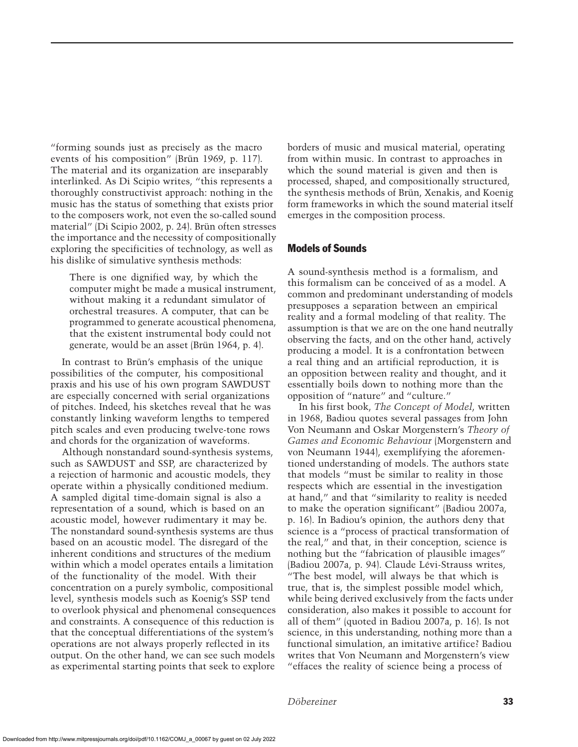"forming sounds just as precisely as the macro events of his composition" (Brün 1969, p. 117). The material and its organization are inseparably interlinked. As Di Scipio writes, "this represents a thoroughly constructivist approach: nothing in the music has the status of something that exists prior to the composers work, not even the so-called sound material" (Di Scipio 2002, p. 24). Brün often stresses the importance and the necessity of compositionally exploring the specificities of technology, as well as his dislike of simulative synthesis methods:

There is one dignified way, by which the computer might be made a musical instrument, without making it a redundant simulator of orchestral treasures. A computer, that can be programmed to generate acoustical phenomena, that the existent instrumental body could not generate, would be an asset (Brün 1964, p. 4).

In contrast to Brün's emphasis of the unique possibilities of the computer, his compositional praxis and his use of his own program SAWDUST are especially concerned with serial organizations of pitches. Indeed, his sketches reveal that he was constantly linking waveform lengths to tempered pitch scales and even producing twelve-tone rows and chords for the organization of waveforms.

Although nonstandard sound-synthesis systems, such as SAWDUST and SSP, are characterized by a rejection of harmonic and acoustic models, they operate within a physically conditioned medium. A sampled digital time-domain signal is also a representation of a sound, which is based on an acoustic model, however rudimentary it may be. The nonstandard sound-synthesis systems are thus based on an acoustic model. The disregard of the inherent conditions and structures of the medium within which a model operates entails a limitation of the functionality of the model. With their concentration on a purely symbolic, compositional level, synthesis models such as Koenig's SSP tend to overlook physical and phenomenal consequences and constraints. A consequence of this reduction is that the conceptual differentiations of the system's operations are not always properly reflected in its output. On the other hand, we can see such models as experimental starting points that seek to explore

borders of music and musical material, operating from within music. In contrast to approaches in which the sound material is given and then is processed, shaped, and compositionally structured, the synthesis methods of Brün, Xenakis, and Koenig form frameworks in which the sound material itself emerges in the composition process.

# Models of Sounds

A sound-synthesis method is a formalism, and this formalism can be conceived of as a model. A common and predominant understanding of models presupposes a separation between an empirical reality and a formal modeling of that reality. The assumption is that we are on the one hand neutrally observing the facts, and on the other hand, actively producing a model. It is a confrontation between a real thing and an artificial reproduction, it is an opposition between reality and thought, and it essentially boils down to nothing more than the opposition of "nature" and "culture."

In his first book, *The Concept of Model*, written in 1968, Badiou quotes several passages from John Von Neumann and Oskar Morgenstern's *Theory of Games and Economic Behaviour* (Morgenstern and von Neumann 1944), exemplifying the aforementioned understanding of models. The authors state that models "must be similar to reality in those respects which are essential in the investigation at hand," and that "similarity to reality is needed to make the operation significant" (Badiou 2007a, p. 16). In Badiou's opinion, the authors deny that science is a "process of practical transformation of the real," and that, in their conception, science is nothing but the "fabrication of plausible images" (Badiou 2007a, p. 94). Claude Lévi-Strauss writes, "The best model, will always be that which is true, that is, the simplest possible model which, while being derived exclusively from the facts under consideration, also makes it possible to account for all of them" (quoted in Badiou 2007a, p. 16). Is not science, in this understanding, nothing more than a functional simulation, an imitative artifice? Badiou writes that Von Neumann and Morgenstern's view "effaces the reality of science being a process of

*D*öbereiner **33**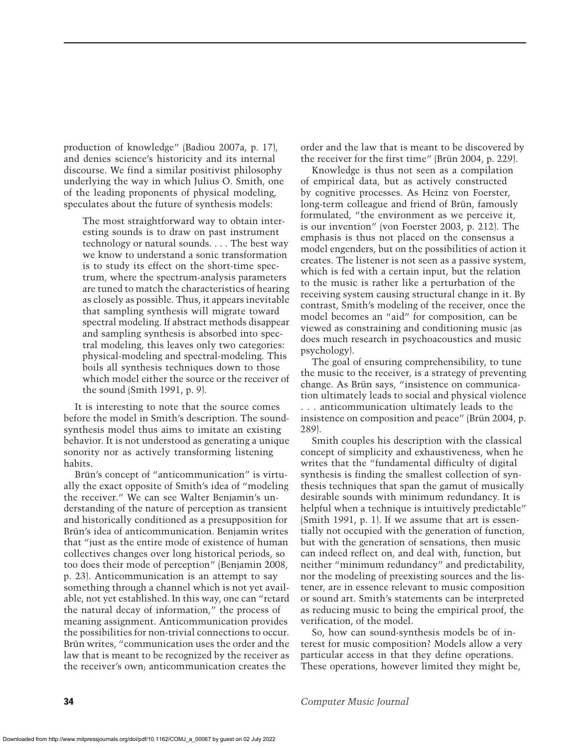production of knowledge" (Badiou 2007a, p. 17), and denies science's historicity and its internal discourse. We find a similar positivist philosophy underlying the way in which Julius O. Smith, one of the leading proponents of physical modeling, speculates about the future of synthesis models:

The most straightforward way to obtain interesting sounds is to draw on past instrument technology or natural sounds. . . . The best way we know to understand a sonic transformation is to study its effect on the short-time spectrum, where the spectrum-analysis parameters are tuned to match the characteristics of hearing as closely as possible. Thus, it appears inevitable that sampling synthesis will migrate toward spectral modeling. If abstract methods disappear and sampling synthesis is absorbed into spectral modeling, this leaves only two categories: physical-modeling and spectral-modeling. This boils all synthesis techniques down to those which model either the source or the receiver of the sound (Smith 1991, p. 9).

It is interesting to note that the source comes before the model in Smith's description. The soundsynthesis model thus aims to imitate an existing behavior. It is not understood as generating a unique sonority nor as actively transforming listening habits.

Brün's concept of "anticommunication" is virtually the exact opposite of Smith's idea of "modeling the receiver." We can see Walter Benjamin's understanding of the nature of perception as transient and historically conditioned as a presupposition for Brün's idea of anticommunication. Benjamin writes that "just as the entire mode of existence of human collectives changes over long historical periods, so too does their mode of perception" (Benjamin 2008, p. 23). Anticommunication is an attempt to say something through a channel which is not yet available, not yet established. In this way, one can "retard the natural decay of information," the process of meaning assignment. Anticommunication provides the possibilities for non-trivial connections to occur. Brün writes, "communication uses the order and the law that is meant to be recognized by the receiver as the receiver's own; anticommunication creates the

order and the law that is meant to be discovered by the receiver for the first time" (Brün 2004, p. 229).

Knowledge is thus not seen as a compilation of empirical data, but as actively constructed by cognitive processes. As Heinz von Foerster, long-term colleague and friend of Brün, famously formulated, "the environment as we perceive it, is our invention" (von Foerster 2003, p. 212). The emphasis is thus not placed on the consensus a model engenders, but on the possibilities of action it creates. The listener is not seen as a passive system, which is fed with a certain input, but the relation to the music is rather like a perturbation of the receiving system causing structural change in it. By contrast, Smith's modeling of the receiver, once the model becomes an "aid" for composition, can be viewed as constraining and conditioning music (as does much research in psychoacoustics and music psychology).

The goal of ensuring comprehensibility, to tune the music to the receiver, is a strategy of preventing change. As Brün says, "insistence on communication ultimately leads to social and physical violence . . . anticommunication ultimately leads to the insistence on composition and peace" (Brün 2004, p. 289).

Smith couples his description with the classical concept of simplicity and exhaustiveness, when he writes that the "fundamental difficulty of digital synthesis is finding the smallest collection of synthesis techniques that span the gamut of musically desirable sounds with minimum redundancy. It is helpful when a technique is intuitively predictable" (Smith 1991, p. 1). If we assume that art is essentially not occupied with the generation of function, but with the generation of sensations, then music can indeed reflect on, and deal with, function, but neither "minimum redundancy" and predictability, nor the modeling of preexisting sources and the listener, are in essence relevant to music composition or sound art. Smith's statements can be interpreted as reducing music to being the empirical proof, the verification, of the model.

So, how can sound-synthesis models be of interest for music composition? Models allow a very particular access in that they define operations. These operations, however limited they might be,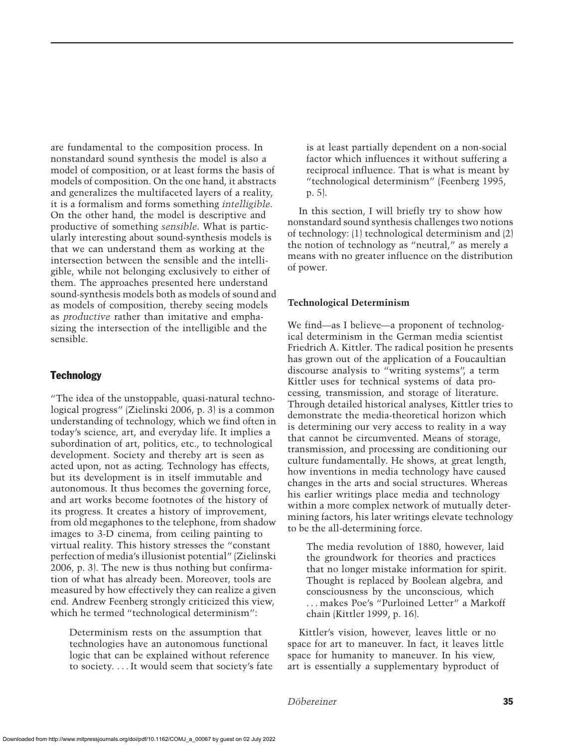are fundamental to the composition process. In nonstandard sound synthesis the model is also a model of composition, or at least forms the basis of models of composition. On the one hand, it abstracts and generalizes the multifaceted layers of a reality, it is a formalism and forms something *intelligible*. On the other hand, the model is descriptive and productive of something *sensible*. What is particularly interesting about sound-synthesis models is that we can understand them as working at the intersection between the sensible and the intelligible, while not belonging exclusively to either of them. The approaches presented here understand sound-synthesis models both as models of sound and as models of composition, thereby seeing models as *productive* rather than imitative and emphasizing the intersection of the intelligible and the sensible.

### **Technology**

"The idea of the unstoppable, quasi-natural technological progress" (Zielinski 2006, p. 3) is a common understanding of technology, which we find often in today's science, art, and everyday life. It implies a subordination of art, politics, etc., to technological development. Society and thereby art is seen as acted upon, not as acting. Technology has effects, but its development is in itself immutable and autonomous. It thus becomes the governing force, and art works become footnotes of the history of its progress. It creates a history of improvement, from old megaphones to the telephone, from shadow images to 3-D cinema, from ceiling painting to virtual reality. This history stresses the "constant perfection of media's illusionist potential" (Zielinski 2006, p. 3). The new is thus nothing but confirmation of what has already been. Moreover, tools are measured by how effectively they can realize a given end. Andrew Feenberg strongly criticized this view, which he termed "technological determinism":

Determinism rests on the assumption that technologies have an autonomous functional logic that can be explained without reference to society. . . . It would seem that society's fate is at least partially dependent on a non-social factor which influences it without suffering a reciprocal influence. That is what is meant by "technological determinism" (Feenberg 1995, p. 5).

In this section, I will briefly try to show how nonstandard sound synthesis challenges two notions of technology: (1) technological determinism and (2) the notion of technology as "neutral," as merely a means with no greater influence on the distribution of power.

#### **Technological Determinism**

We find—as I believe—a proponent of technological determinism in the German media scientist Friedrich A. Kittler. The radical position he presents has grown out of the application of a Foucaultian discourse analysis to "writing systems", a term Kittler uses for technical systems of data processing, transmission, and storage of literature. Through detailed historical analyses, Kittler tries to demonstrate the media-theoretical horizon which is determining our very access to reality in a way that cannot be circumvented. Means of storage, transmission, and processing are conditioning our culture fundamentally. He shows, at great length, how inventions in media technology have caused changes in the arts and social structures. Whereas his earlier writings place media and technology within a more complex network of mutually determining factors, his later writings elevate technology to be the all-determining force.

The media revolution of 1880, however, laid the groundwork for theories and practices that no longer mistake information for spirit. Thought is replaced by Boolean algebra, and consciousness by the unconscious, which . . . makes Poe's "Purloined Letter" a Markoff chain (Kittler 1999, p. 16).

Kittler's vision, however, leaves little or no space for art to maneuver. In fact, it leaves little space for humanity to maneuver. In his view, art is essentially a supplementary byproduct of

*Dobereiner ¨* 35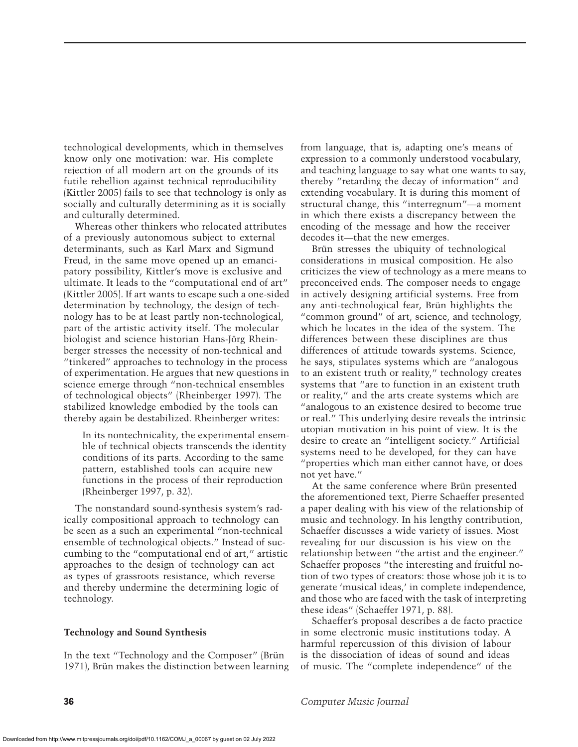technological developments, which in themselves know only one motivation: war. His complete rejection of all modern art on the grounds of its futile rebellion against technical reproducibility (Kittler 2005) fails to see that technology is only as socially and culturally determining as it is socially and culturally determined.

Whereas other thinkers who relocated attributes of a previously autonomous subject to external determinants, such as Karl Marx and Sigmund Freud, in the same move opened up an emancipatory possibility, Kittler's move is exclusive and ultimate. It leads to the "computational end of art" (Kittler 2005). If art wants to escape such a one-sided determination by technology, the design of technology has to be at least partly non-technological, part of the artistic activity itself. The molecular biologist and science historian Hans-Jörg Rheinberger stresses the necessity of non-technical and "tinkered" approaches to technology in the process of experimentation. He argues that new questions in science emerge through "non-technical ensembles of technological objects" (Rheinberger 1997). The stabilized knowledge embodied by the tools can thereby again be destabilized. Rheinberger writes:

In its nontechnicality, the experimental ensemble of technical objects transcends the identity conditions of its parts. According to the same pattern, established tools can acquire new functions in the process of their reproduction (Rheinberger 1997, p. 32).

The nonstandard sound-synthesis system's radically compositional approach to technology can be seen as a such an experimental "non-technical ensemble of technological objects." Instead of succumbing to the "computational end of art," artistic approaches to the design of technology can act as types of grassroots resistance, which reverse and thereby undermine the determining logic of technology.

#### **Technology and Sound Synthesis**

In the text "Technology and the Composer" (Brün 1971), Brün makes the distinction between learning from language, that is, adapting one's means of expression to a commonly understood vocabulary, and teaching language to say what one wants to say, thereby "retarding the decay of information" and extending vocabulary. It is during this moment of structural change, this "interregnum"—a moment in which there exists a discrepancy between the encoding of the message and how the receiver decodes it—that the new emerges.

Brün stresses the ubiquity of technological considerations in musical composition. He also criticizes the view of technology as a mere means to preconceived ends. The composer needs to engage in actively designing artificial systems. Free from any anti-technological fear, Brün highlights the "common ground" of art, science, and technology, which he locates in the idea of the system. The differences between these disciplines are thus differences of attitude towards systems. Science, he says, stipulates systems which are "analogous to an existent truth or reality," technology creates systems that "are to function in an existent truth or reality," and the arts create systems which are "analogous to an existence desired to become true or real." This underlying desire reveals the intrinsic utopian motivation in his point of view. It is the desire to create an "intelligent society." Artificial systems need to be developed, for they can have "properties which man either cannot have, or does not yet have."

At the same conference where Brün presented the aforementioned text, Pierre Schaeffer presented a paper dealing with his view of the relationship of music and technology. In his lengthy contribution, Schaeffer discusses a wide variety of issues. Most revealing for our discussion is his view on the relationship between "the artist and the engineer." Schaeffer proposes "the interesting and fruitful notion of two types of creators: those whose job it is to generate 'musical ideas,' in complete independence, and those who are faced with the task of interpreting these ideas" (Schaeffer 1971, p. 88).

Schaeffer's proposal describes a de facto practice in some electronic music institutions today. A harmful repercussion of this division of labour is the dissociation of ideas of sound and ideas of music. The "complete independence" of the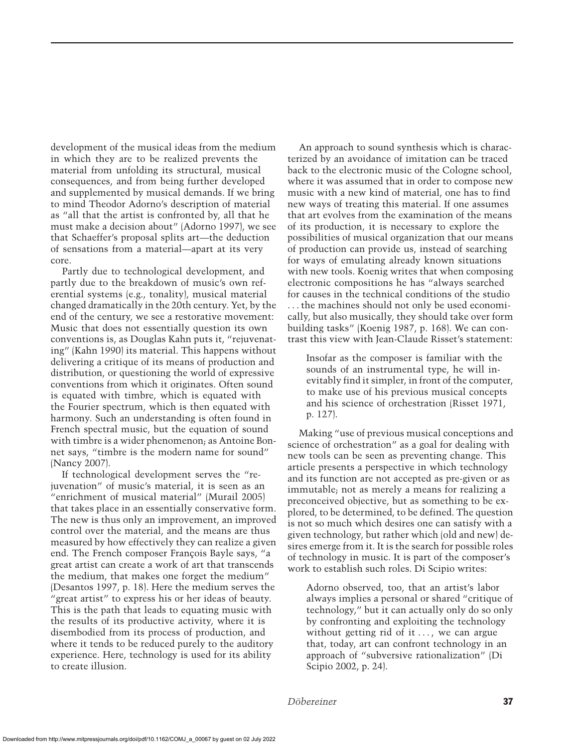development of the musical ideas from the medium in which they are to be realized prevents the material from unfolding its structural, musical consequences, and from being further developed and supplemented by musical demands. If we bring to mind Theodor Adorno's description of material as "all that the artist is confronted by, all that he must make a decision about" (Adorno 1997), we see that Schaeffer's proposal splits art—the deduction of sensations from a material—apart at its very core.

Partly due to technological development, and partly due to the breakdown of music's own referential systems (e.g., tonality), musical material changed dramatically in the 20th century. Yet, by the end of the century, we see a restorative movement: Music that does not essentially question its own conventions is, as Douglas Kahn puts it, "rejuvenating" (Kahn 1990) its material. This happens without delivering a critique of its means of production and distribution, or questioning the world of expressive conventions from which it originates. Often sound is equated with timbre, which is equated with the Fourier spectrum, which is then equated with harmony. Such an understanding is often found in French spectral music, but the equation of sound with timbre is a wider phenomenon; as Antoine Bonnet says, "timbre is the modern name for sound" (Nancy 2007).

If technological development serves the "rejuvenation" of music's material, it is seen as an "enrichment of musical material" (Murail 2005) that takes place in an essentially conservative form. The new is thus only an improvement, an improved control over the material, and the means are thus measured by how effectively they can realize a given end. The French composer François Bayle says, "a great artist can create a work of art that transcends the medium, that makes one forget the medium" (Desantos 1997, p. 18). Here the medium serves the "great artist" to express his or her ideas of beauty. This is the path that leads to equating music with the results of its productive activity, where it is disembodied from its process of production, and where it tends to be reduced purely to the auditory experience. Here, technology is used for its ability to create illusion.

An approach to sound synthesis which is characterized by an avoidance of imitation can be traced back to the electronic music of the Cologne school, where it was assumed that in order to compose new music with a new kind of material, one has to find new ways of treating this material. If one assumes that art evolves from the examination of the means of its production, it is necessary to explore the possibilities of musical organization that our means of production can provide us, instead of searching for ways of emulating already known situations with new tools. Koenig writes that when composing electronic compositions he has "always searched for causes in the technical conditions of the studio . . . the machines should not only be used economically, but also musically, they should take over form building tasks" (Koenig 1987, p. 168). We can contrast this view with Jean-Claude Risset's statement:

Insofar as the composer is familiar with the sounds of an instrumental type, he will inevitably find it simpler, in front of the computer, to make use of his previous musical concepts and his science of orchestration (Risset 1971, p. 127).

Making "use of previous musical conceptions and science of orchestration" as a goal for dealing with new tools can be seen as preventing change. This article presents a perspective in which technology and its function are not accepted as pre-given or as immutable; not as merely a means for realizing a preconceived objective, but as something to be explored, to be determined, to be defined. The question is not so much which desires one can satisfy with a given technology, but rather which (old and new) desires emerge from it. It is the search for possible roles of technology in music. It is part of the composer's work to establish such roles. Di Scipio writes:

Adorno observed, too, that an artist's labor always implies a personal or shared "critique of technology," but it can actually only do so only by confronting and exploiting the technology without getting rid of it  $\dots$ , we can argue that, today, art can confront technology in an approach of "subversive rationalization" (Di Scipio 2002, p. 24).

*Dobereiner ¨* 37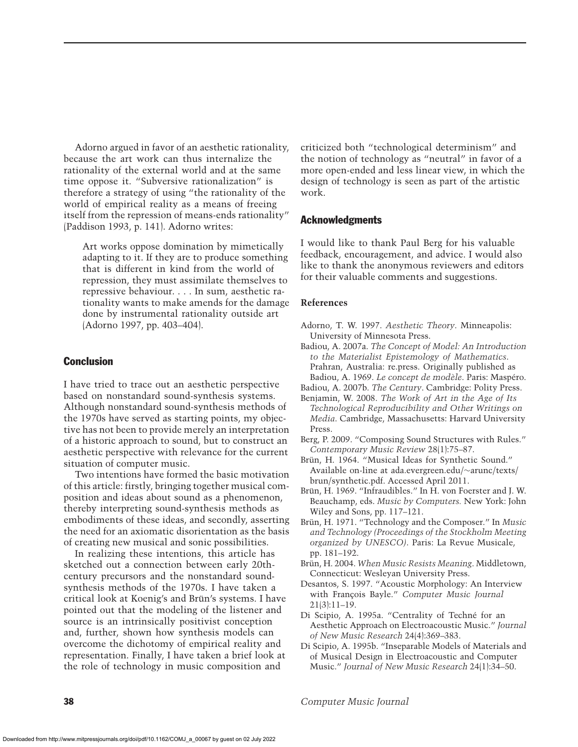Adorno argued in favor of an aesthetic rationality, because the art work can thus internalize the rationality of the external world and at the same time oppose it. "Subversive rationalization" is therefore a strategy of using "the rationality of the world of empirical reality as a means of freeing itself from the repression of means-ends rationality" (Paddison 1993, p. 141). Adorno writes:

Art works oppose domination by mimetically adapting to it. If they are to produce something that is different in kind from the world of repression, they must assimilate themselves to repressive behaviour. . . . In sum, aesthetic rationality wants to make amends for the damage done by instrumental rationality outside art (Adorno 1997, pp. 403–404).

#### Conclusion

I have tried to trace out an aesthetic perspective based on nonstandard sound-synthesis systems. Although nonstandard sound-synthesis methods of the 1970s have served as starting points, my objective has not been to provide merely an interpretation of a historic approach to sound, but to construct an aesthetic perspective with relevance for the current situation of computer music.

Two intentions have formed the basic motivation of this article: firstly, bringing together musical composition and ideas about sound as a phenomenon, thereby interpreting sound-synthesis methods as embodiments of these ideas, and secondly, asserting the need for an axiomatic disorientation as the basis of creating new musical and sonic possibilities.

In realizing these intentions, this article has sketched out a connection between early 20thcentury precursors and the nonstandard soundsynthesis methods of the 1970s. I have taken a critical look at Koenig's and Brün's systems. I have pointed out that the modeling of the listener and source is an intrinsically positivist conception and, further, shown how synthesis models can overcome the dichotomy of empirical reality and representation. Finally, I have taken a brief look at the role of technology in music composition and

criticized both "technological determinism" and the notion of technology as "neutral" in favor of a more open-ended and less linear view, in which the design of technology is seen as part of the artistic work.

#### Acknowledgments

I would like to thank Paul Berg for his valuable feedback, encouragement, and advice. I would also like to thank the anonymous reviewers and editors for their valuable comments and suggestions.

#### **References**

- Adorno, T. W. 1997. *Aesthetic Theory*. Minneapolis: University of Minnesota Press.
- Badiou, A. 2007a. *The Concept of Model: An Introduction to the Materialist Epistemology of Mathematics*. Prahran, Australia: re.press. Originally published as Badiou, A. 1969. *Le concept de modèle*. Paris: Maspéro.
- Badiou, A. 2007b. *The Century*. Cambridge: Polity Press.
- Benjamin, W. 2008. *The Work of Art in the Age of Its Technological Reproducibility and Other Writings on Media*. Cambridge, Massachusetts: Harvard University Press.
- Berg, P. 2009. "Composing Sound Structures with Rules." *Contemporary Music Review* 28(1):75–87.
- Brün, H. 1964. "Musical Ideas for Synthetic Sound." Available on-line at ada.evergreen.edu/∼arunc/texts/ brun/synthetic.pdf. Accessed April 2011.
- Brün, H. 1969. "Infraudibles." In H. von Foerster and J. W. Beauchamp, eds. *Music by Computers.* New York: John Wiley and Sons, pp. 117–121.
- Brün, H. 1971. "Technology and the Composer." In *Music and Technology (Proceedings of the Stockholm Meeting organized by UNESCO)*. Paris: La Revue Musicale, pp. 181–192.
- Brün, H. 2004. When Music Resists Meaning. Middletown, Connecticut: Wesleyan University Press.
- Desantos, S. 1997. "Acoustic Morphology: An Interview with Franc¸ois Bayle." *Computer Music Journal* 21(3):11–19.
- Di Scipio, A. 1995a. "Centrality of Techné for an Aesthetic Approach on Electroacoustic Music." *Journal of New Music Research* 24(4):369–383.
- Di Scipio, A. 1995b. "Inseparable Models of Materials and of Musical Design in Electroacoustic and Computer Music." *Journal of New Music Research* 24(1):34–50.